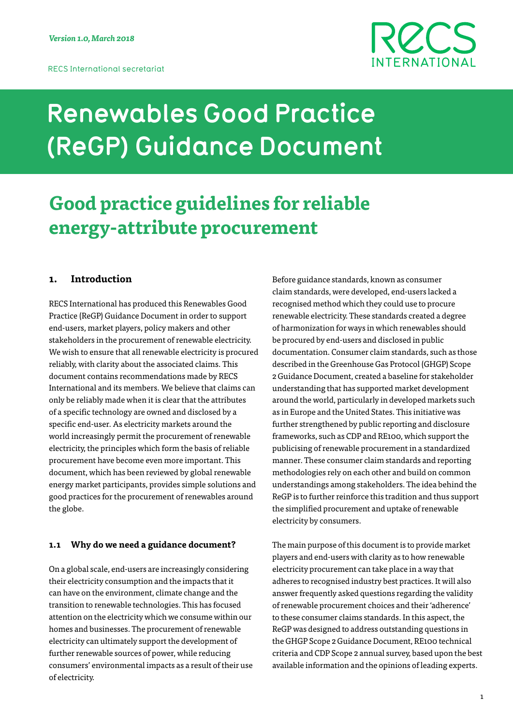

# **Renewables Good Practice (ReGP) Guidance Document**

## **Good practice guidelines for reliable energy-attribute procurement**

## **1. Introduction**

RECS International has produced this Renewables Good Practice (ReGP) Guidance Document in order to support end-users, market players, policy makers and other stakeholders in the procurement of renewable electricity. We wish to ensure that all renewable electricity is procured reliably, with clarity about the associated claims. This document contains recommendations made by RECS International and its members. We believe that claims can only be reliably made when it is clear that the attributes of a specific technology are owned and disclosed by a specific end-user. As electricity markets around the world increasingly permit the procurement of renewable electricity, the principles which form the basis of reliable procurement have become even more important. This document, which has been reviewed by global renewable energy market participants, provides simple solutions and good practices for the procurement of renewables around the globe.

#### **1.1 Why do we need a guidance document?**

On a global scale, end-users are increasingly considering their electricity consumption and the impacts that it can have on the environment, climate change and the transition to renewable technologies. This has focused attention on the electricity which we consume within our homes and businesses. The procurement of renewable electricity can ultimately support the development of further renewable sources of power, while reducing consumers' environmental impacts as a result of their use of electricity.

Before guidance standards, known as consumer claim standards, were developed, end-users lacked a recognised method which they could use to procure renewable electricity. These standards created a degree of harmonization for ways in which renewables should be procured by end-users and disclosed in public documentation. Consumer claim standards, such as those described in the Greenhouse Gas Protocol (GHGP) Scope 2 Guidance Document, created a baseline for stakeholder understanding that has supported market development around the world, particularly in developed markets such as in Europe and the United States. This initiative was further strengthened by public reporting and disclosure frameworks, such as CDP and RE100, which support the publicising of renewable procurement in a standardized manner. These consumer claim standards and reporting methodologies rely on each other and build on common understandings among stakeholders. The idea behind the ReGP is to further reinforce this tradition and thus support the simplified procurement and uptake of renewable electricity by consumers.

The main purpose of this document is to provide market players and end-users with clarity as to how renewable electricity procurement can take place in a way that adheres to recognised industry best practices. It will also answer frequently asked questions regarding the validity of renewable procurement choices and their 'adherence' to these consumer claims standards. In this aspect, the ReGP was designed to address outstanding questions in the GHGP Scope 2 Guidance Document, RE100 technical criteria and CDP Scope 2 annual survey, based upon the best available information and the opinions of leading experts.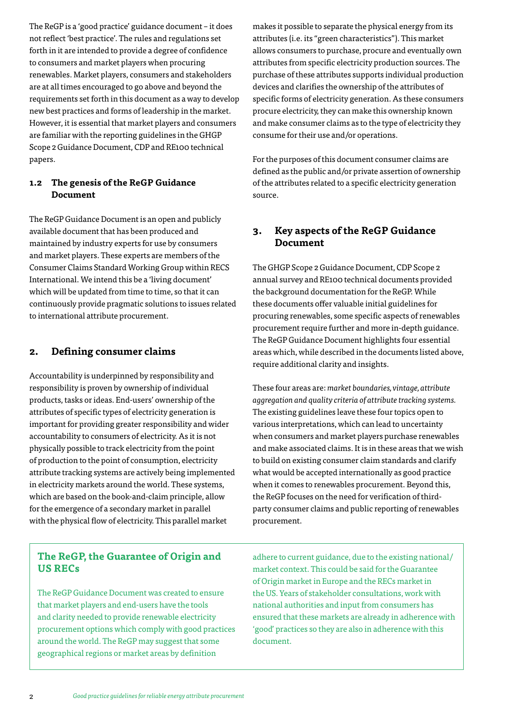The ReGP is a 'good practice' guidance document – it does not reflect 'best practice'. The rules and regulations set forth in it are intended to provide a degree of confidence to consumers and market players when procuring renewables. Market players, consumers and stakeholders are at all times encouraged to go above and beyond the requirements set forth in this document as a way to develop new best practices and forms of leadership in the market. However, it is essential that market players and consumers are familiar with the reporting guidelines in the GHGP Scope 2 Guidance Document, CDP and RE100 technical papers.

## **1.2 The genesis of the ReGP Guidance Document**

The ReGP Guidance Document is an open and publicly available document that has been produced and maintained by industry experts for use by consumers and market players. These experts are members of the Consumer Claims Standard Working Group within RECS International. We intend this be a 'living document' which will be updated from time to time, so that it can continuously provide pragmatic solutions to issues related to international attribute procurement.

## **2. Defining consumer claims**

Accountability is underpinned by responsibility and responsibility is proven by ownership of individual products, tasks or ideas. End-users' ownership of the attributes of specific types of electricity generation is important for providing greater responsibility and wider accountability to consumers of electricity. As it is not physically possible to track electricity from the point of production to the point of consumption, electricity attribute tracking systems are actively being implemented in electricity markets around the world. These systems, which are based on the book-and-claim principle, allow for the emergence of a secondary market in parallel with the physical flow of electricity. This parallel market

**The ReGP, the Guarantee of Origin and US RECs**

The ReGP Guidance Document was created to ensure that market players and end-users have the tools and clarity needed to provide renewable electricity procurement options which comply with good practices around the world. The ReGP may suggest that some geographical regions or market areas by definition

makes it possible to separate the physical energy from its attributes (i.e. its "green characteristics"). This market allows consumers to purchase, procure and eventually own attributes from specific electricity production sources. The purchase of these attributes supports individual production devices and clarifies the ownership of the attributes of specific forms of electricity generation. As these consumers procure electricity, they can make this ownership known and make consumer claims as to the type of electricity they consume for their use and/or operations.

For the purposes of this document consumer claims are defined as the public and/or private assertion of ownership of the attributes related to a specific electricity generation source.

## **3. Key aspects of the ReGP Guidance Document**

The GHGP Scope 2 Guidance Document, CDP Scope 2 annual survey and RE100 technical documents provided the background documentation for the ReGP. While these documents offer valuable initial guidelines for procuring renewables, some specific aspects of renewables procurement require further and more in-depth guidance. The ReGP Guidance Document highlights four essential areas which, while described in the documents listed above, require additional clarity and insights.

These four areas are: *market boundaries, vintage, attribute aggregation and quality criteria of attribute tracking systems.*  The existing guidelines leave these four topics open to various interpretations, which can lead to uncertainty when consumers and market players purchase renewables and make associated claims. It is in these areas that we wish to build on existing consumer claim standards and clarify what would be accepted internationally as good practice when it comes to renewables procurement. Beyond this, the ReGP focuses on the need for verification of thirdparty consumer claims and public reporting of renewables procurement.

adhere to current guidance, due to the existing national/ market context. This could be said for the Guarantee of Origin market in Europe and the RECs market in the US. Years of stakeholder consultations, work with national authorities and input from consumers has ensured that these markets are already in adherence with 'good' practices so they are also in adherence with this document.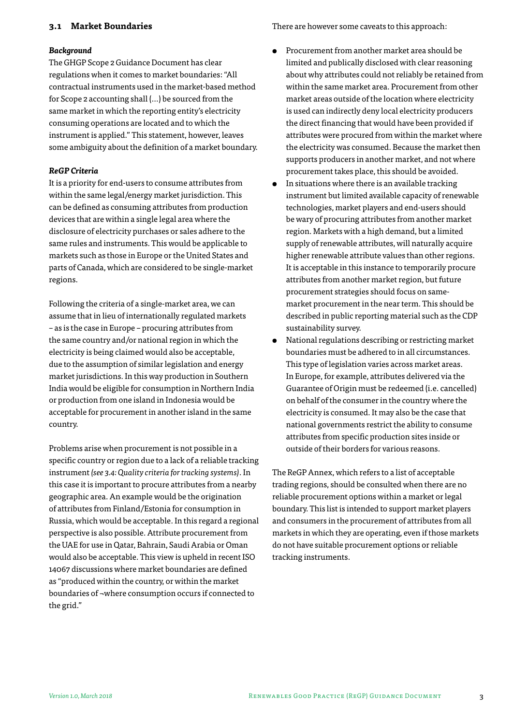## **3.1 Market Boundaries**

#### *Background*

The GHGP Scope 2 Guidance Document has clear regulations when it comes to market boundaries: "All contractual instruments used in the market-based method for Scope 2 accounting shall (…) be sourced from the same market in which the reporting entity's electricity consuming operations are located and to which the instrument is applied." This statement, however, leaves some ambiguity about the definition of a market boundary.

#### *ReGP Criteria*

It is a priority for end-users to consume attributes from within the same legal/energy market jurisdiction. This can be defined as consuming attributes from production devices that are within a single legal area where the disclosure of electricity purchases or sales adhere to the same rules and instruments. This would be applicable to markets such as those in Europe or the United States and parts of Canada, which are considered to be single-market regions.

Following the criteria of a single-market area, we can assume that in lieu of internationally regulated markets – as is the case in Europe – procuring attributes from the same country and/or national region in which the electricity is being claimed would also be acceptable, due to the assumption of similar legislation and energy market jurisdictions. In this way production in Southern India would be eligible for consumption in Northern India or production from one island in Indonesia would be acceptable for procurement in another island in the same country.

Problems arise when procurement is not possible in a specific country or region due to a lack of a reliable tracking instrument *(see 3.4: Quality criteria for tracking systems)*. In this case it is important to procure attributes from a nearby geographic area. An example would be the origination of attributes from Finland/Estonia for consumption in Russia, which would be acceptable. In this regard a regional perspective is also possible. Attribute procurement from the UAE for use in Qatar, Bahrain, Saudi Arabia or Oman would also be acceptable. This view is upheld in recent ISO 14067 discussions where market boundaries are defined as "produced within the country, or within the market boundaries of ¬where consumption occurs if connected to the grid."

There are however some caveats to this approach:

- Procurement from another market area should be limited and publically disclosed with clear reasoning about why attributes could not reliably be retained from within the same market area. Procurement from other market areas outside of the location where electricity is used can indirectly deny local electricity producers the direct financing that would have been provided if attributes were procured from within the market where the electricity was consumed. Because the market then supports producers in another market, and not where procurement takes place, this should be avoided.
- In situations where there is an available tracking instrument but limited available capacity of renewable technologies, market players and end-users should be wary of procuring attributes from another market region. Markets with a high demand, but a limited supply of renewable attributes, will naturally acquire higher renewable attribute values than other regions. It is acceptable in this instance to temporarily procure attributes from another market region, but future procurement strategies should focus on samemarket procurement in the near term. This should be described in public reporting material such as the CDP sustainability survey.
- National regulations describing or restricting market boundaries must be adhered to in all circumstances. This type of legislation varies across market areas. In Europe, for example, attributes delivered via the Guarantee of Origin must be redeemed (i.e. cancelled) on behalf of the consumer in the country where the electricity is consumed. It may also be the case that national governments restrict the ability to consume attributes from specific production sites inside or outside of their borders for various reasons.

The ReGP Annex, which refers to a list of acceptable trading regions, should be consulted when there are no reliable procurement options within a market or legal boundary. This list is intended to support market players and consumers in the procurement of attributes from all markets in which they are operating, even if those markets do not have suitable procurement options or reliable tracking instruments.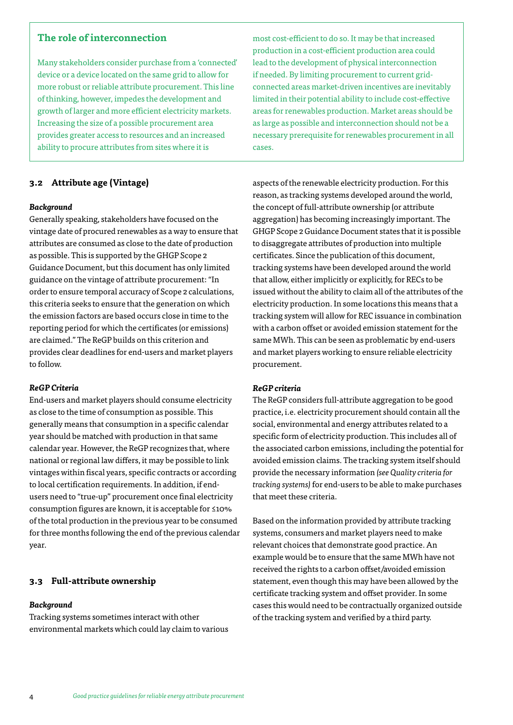## **The role of interconnection**

Many stakeholders consider purchase from a 'connected' device or a device located on the same grid to allow for more robust or reliable attribute procurement. This line of thinking, however, impedes the development and growth of larger and more efficient electricity markets. Increasing the size of a possible procurement area provides greater access to resources and an increased ability to procure attributes from sites where it is

## **3.2 Attribute age (Vintage)**

#### *Background*

Generally speaking, stakeholders have focused on the vintage date of procured renewables as a way to ensure that attributes are consumed as close to the date of production as possible. This is supported by the GHGP Scope 2 Guidance Document, but this document has only limited guidance on the vintage of attribute procurement: "In order to ensure temporal accuracy of Scope 2 calculations, this criteria seeks to ensure that the generation on which the emission factors are based occurs close in time to the reporting period for which the certificates (or emissions) are claimed." The ReGP builds on this criterion and provides clear deadlines for end-users and market players to follow.

#### *ReGP Criteria*

End-users and market players should consume electricity as close to the time of consumption as possible. This generally means that consumption in a specific calendar year should be matched with production in that same calendar year. However, the ReGP recognizes that, where national or regional law differs, it may be possible to link vintages within fiscal years, specific contracts or according to local certification requirements. In addition, if endusers need to "true-up" procurement once final electricity consumption figures are known, it is acceptable for ≤10% of the total production in the previous year to be consumed for three months following the end of the previous calendar year.

#### **3.3 Full-attribute ownership**

#### *Background*

Tracking systems sometimes interact with other environmental markets which could lay claim to various

most cost-efficient to do so. It may be that increased production in a cost-efficient production area could lead to the development of physical interconnection if needed. By limiting procurement to current gridconnected areas market-driven incentives are inevitably limited in their potential ability to include cost-effective areas for renewables production. Market areas should be as large as possible and interconnection should not be a necessary prerequisite for renewables procurement in all cases.

aspects of the renewable electricity production. For this reason, as tracking systems developed around the world, the concept of full-attribute ownership (or attribute aggregation) has becoming increasingly important. The GHGP Scope 2 Guidance Document states that it is possible to disaggregate attributes of production into multiple certificates. Since the publication of this document, tracking systems have been developed around the world that allow, either implicitly or explicitly, for RECs to be issued without the ability to claim all of the attributes of the electricity production. In some locations this means that a tracking system will allow for REC issuance in combination with a carbon offset or avoided emission statement for the same MWh. This can be seen as problematic by end-users and market players working to ensure reliable electricity procurement.

#### *ReGP criteria*

The ReGP considers full-attribute aggregation to be good practice, i.e. electricity procurement should contain all the social, environmental and energy attributes related to a specific form of electricity production. This includes all of the associated carbon emissions, including the potential for avoided emission claims. The tracking system itself should provide the necessary information *(see Quality criteria for tracking systems)* for end-users to be able to make purchases that meet these criteria.

Based on the information provided by attribute tracking systems, consumers and market players need to make relevant choices that demonstrate good practice. An example would be to ensure that the same MWh have not received the rights to a carbon offset/avoided emission statement, even though this may have been allowed by the certificate tracking system and offset provider. In some cases this would need to be contractually organized outside of the tracking system and verified by a third party.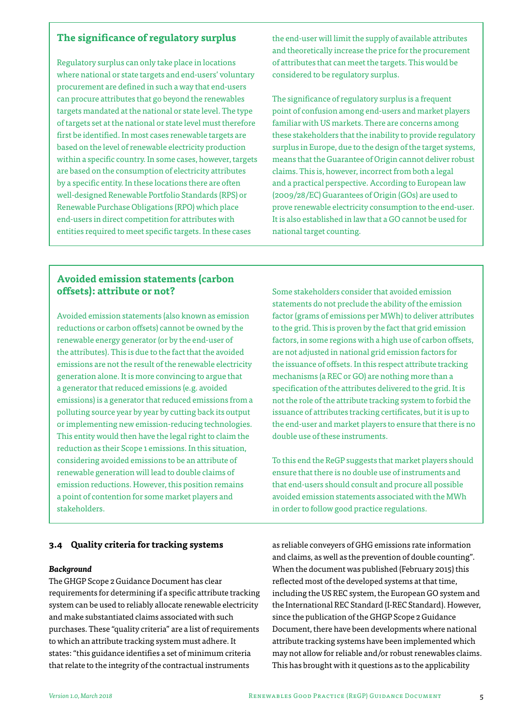## **The significance of regulatory surplus**

Regulatory surplus can only take place in locations where national or state targets and end-users' voluntary procurement are defined in such a way that end-users can procure attributes that go beyond the renewables targets mandated at the national or state level. The type of targets set at the national or state level must therefore first be identified. In most cases renewable targets are based on the level of renewable electricity production within a specific country. In some cases, however, targets are based on the consumption of electricity attributes by a specific entity. In these locations there are often well-designed Renewable Portfolio Standards (RPS) or Renewable Purchase Obligations (RPO) which place end-users in direct competition for attributes with entities required to meet specific targets. In these cases

the end-user will limit the supply of available attributes and theoretically increase the price for the procurement of attributes that can meet the targets. This would be considered to be regulatory surplus.

The significance of regulatory surplus is a frequent point of confusion among end-users and market players familiar with US markets. There are concerns among these stakeholders that the inability to provide regulatory surplus in Europe, due to the design of the target systems, means that the Guarantee of Origin cannot deliver robust claims. This is, however, incorrect from both a legal and a practical perspective. According to European law (2009/28/EC) Guarantees of Origin (GOs) are used to prove renewable electricity consumption to the end-user. It is also established in law that a GO cannot be used for national target counting.

## **Avoided emission statements (carbon offsets): attribute or not?**

Avoided emission statements (also known as emission reductions or carbon offsets) cannot be owned by the renewable energy generator (or by the end-user of the attributes). This is due to the fact that the avoided emissions are not the result of the renewable electricity generation alone. It is more convincing to argue that a generator that reduced emissions (e.g. avoided emissions) is a generator that reduced emissions from a polluting source year by year by cutting back its output or implementing new emission-reducing technologies. This entity would then have the legal right to claim the reduction as their Scope 1 emissions. In this situation, considering avoided emissions to be an attribute of renewable generation will lead to double claims of emission reductions. However, this position remains a point of contention for some market players and stakeholders.

## Some stakeholders consider that avoided emission statements do not preclude the ability of the emission factor (grams of emissions per MWh) to deliver attributes to the grid. This is proven by the fact that grid emission factors, in some regions with a high use of carbon offsets, are not adjusted in national grid emission factors for the issuance of offsets. In this respect attribute tracking mechanisms (a REC or GO) are nothing more than a specification of the attributes delivered to the grid. It is not the role of the attribute tracking system to forbid the issuance of attributes tracking certificates, but it is up to the end-user and market players to ensure that there is no double use of these instruments.

To this end the ReGP suggests that market players should ensure that there is no double use of instruments and that end-users should consult and procure all possible avoided emission statements associated with the MWh in order to follow good practice regulations.

## **3.4 Quality criteria for tracking systems**

#### *Background*

The GHGP Scope 2 Guidance Document has clear requirements for determining if a specific attribute tracking system can be used to reliably allocate renewable electricity and make substantiated claims associated with such purchases. These "quality criteria" are a list of requirements to which an attribute tracking system must adhere. It states: "this guidance identifies a set of minimum criteria that relate to the integrity of the contractual instruments

as reliable conveyers of GHG emissions rate information and claims, as well as the prevention of double counting". When the document was published (February 2015) this reflected most of the developed systems at that time, including the US REC system, the European GO system and the International REC Standard (I-REC Standard). However, since the publication of the GHGP Scope 2 Guidance Document, there have been developments where national attribute tracking systems have been implemented which may not allow for reliable and/or robust renewables claims. This has brought with it questions as to the applicability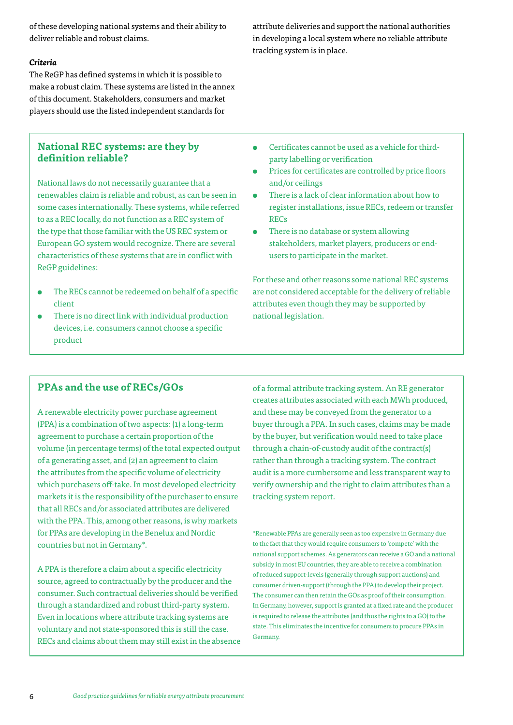of these developing national systems and their ability to deliver reliable and robust claims.

#### *Criteria*

The ReGP has defined systems in which it is possible to make a robust claim. These systems are listed in the annex of this document. Stakeholders, consumers and market players should use the listed independent standards for

## **National REC systems: are they by definition reliable?**

National laws do not necessarily guarantee that a renewables claim is reliable and robust, as can be seen in some cases internationally. These systems, while referred to as a REC locally, do not function as a REC system of the type that those familiar with the US REC system or European GO system would recognize. There are several characteristics of these systems that are in conflict with ReGP guidelines:

- The RECs cannot be redeemed on behalf of a specific client
- There is no direct link with individual production devices, i.e. consumers cannot choose a specific product

attribute deliveries and support the national authorities in developing a local system where no reliable attribute tracking system is in place.

- Certificates cannot be used as a vehicle for thirdparty labelling or verification
- Prices for certificates are controlled by price floors and/or ceilings
- There is a lack of clear information about how to register installations, issue RECs, redeem or transfer RECs
- There is no database or system allowing stakeholders, market players, producers or endusers to participate in the market.

For these and other reasons some national REC systems are not considered acceptable for the delivery of reliable attributes even though they may be supported by national legislation.

## **PPAs and the use of RECs/GOs**

A renewable electricity power purchase agreement (PPA) is a combination of two aspects: (1) a long-term agreement to purchase a certain proportion of the volume (in percentage terms) of the total expected output of a generating asset, and (2) an agreement to claim the attributes from the specific volume of electricity which purchasers off-take. In most developed electricity markets it is the responsibility of the purchaser to ensure that all RECs and/or associated attributes are delivered with the PPA. This, among other reasons, is why markets for PPAs are developing in the Benelux and Nordic countries but not in Germany\*.

A PPA is therefore a claim about a specific electricity source, agreed to contractually by the producer and the consumer. Such contractual deliveries should be verified through a standardized and robust third-party system. Even in locations where attribute tracking systems are voluntary and not state-sponsored this is still the case. RECs and claims about them may still exist in the absence

of a formal attribute tracking system. An RE generator creates attributes associated with each MWh produced, and these may be conveyed from the generator to a buyer through a PPA. In such cases, claims may be made by the buyer, but verification would need to take place through a chain-of-custody audit of the contract(s) rather than through a tracking system. The contract audit is a more cumbersome and less transparent way to verify ownership and the right to claim attributes than a tracking system report.

\*Renewable PPAs are generally seen as too expensive in Germany due to the fact that they would require consumers to 'compete' with the national support schemes. As generators can receive a GO and a national subsidy in most EU countries, they are able to receive a combination of reduced support-levels (generally through support auctions) and consumer driven-support (through the PPA) to develop their project. The consumer can then retain the GOs as proof of their consumption. In Germany, however, support is granted at a fixed rate and the producer is required to release the attributes (and thus the rights to a GO) to the state. This eliminates the incentive for consumers to procure PPAs in Germany.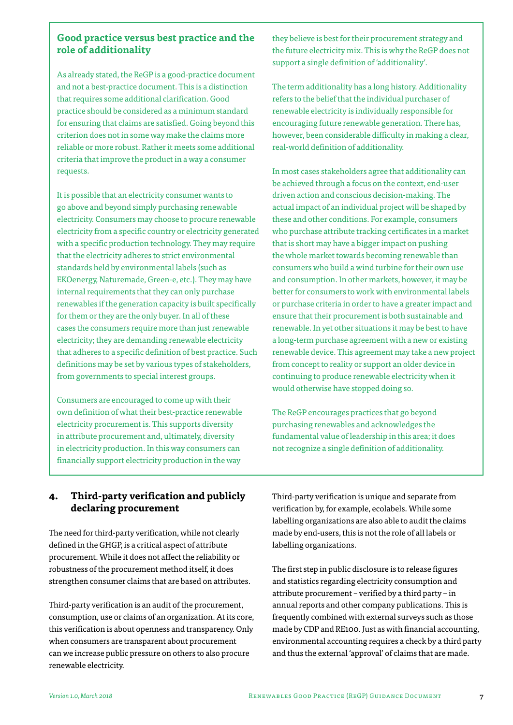## **Good practice versus best practice and the role of additionality**

As already stated, the ReGP is a good-practice document and not a best-practice document. This is a distinction that requires some additional clarification. Good practice should be considered as a minimum standard for ensuring that claims are satisfied. Going beyond this criterion does not in some way make the claims more reliable or more robust. Rather it meets some additional criteria that improve the product in a way a consumer requests.

It is possible that an electricity consumer wants to go above and beyond simply purchasing renewable electricity. Consumers may choose to procure renewable electricity from a specific country or electricity generated with a specific production technology. They may require that the electricity adheres to strict environmental standards held by environmental labels (such as EKOenergy, Naturemade, Green-e, etc.). They may have internal requirements that they can only purchase renewables if the generation capacity is built specifically for them or they are the only buyer. In all of these cases the consumers require more than just renewable electricity; they are demanding renewable electricity that adheres to a specific definition of best practice. Such definitions may be set by various types of stakeholders, from governments to special interest groups.

Consumers are encouraged to come up with their own definition of what their best-practice renewable electricity procurement is. This supports diversity in attribute procurement and, ultimately, diversity in electricity production. In this way consumers can financially support electricity production in the way

they believe is best for their procurement strategy and the future electricity mix. This is why the ReGP does not support a single definition of 'additionality'.

The term additionality has a long history. Additionality refers to the belief that the individual purchaser of renewable electricity is individually responsible for encouraging future renewable generation. There has, however, been considerable difficulty in making a clear, real-world definition of additionality.

In most cases stakeholders agree that additionality can be achieved through a focus on the context, end-user driven action and conscious decision-making. The actual impact of an individual project will be shaped by these and other conditions. For example, consumers who purchase attribute tracking certificates in a market that is short may have a bigger impact on pushing the whole market towards becoming renewable than consumers who build a wind turbine for their own use and consumption. In other markets, however, it may be better for consumers to work with environmental labels or purchase criteria in order to have a greater impact and ensure that their procurement is both sustainable and renewable. In yet other situations it may be best to have a long-term purchase agreement with a new or existing renewable device. This agreement may take a new project from concept to reality or support an older device in continuing to produce renewable electricity when it would otherwise have stopped doing so.

The ReGP encourages practices that go beyond purchasing renewables and acknowledges the fundamental value of leadership in this area; it does not recognize a single definition of additionality.

## **4. Third-party verification and publicly declaring procurement**

The need for third-party verification, while not clearly defined in the GHGP, is a critical aspect of attribute procurement. While it does not affect the reliability or robustness of the procurement method itself, it does strengthen consumer claims that are based on attributes.

Third-party verification is an audit of the procurement, consumption, use or claims of an organization. At its core, this verification is about openness and transparency. Only when consumers are transparent about procurement can we increase public pressure on others to also procure renewable electricity.

Third-party verification is unique and separate from verification by, for example, ecolabels. While some labelling organizations are also able to audit the claims made by end-users, this is not the role of all labels or labelling organizations.

The first step in public disclosure is to release figures and statistics regarding electricity consumption and attribute procurement – verified by a third party – in annual reports and other company publications. This is frequently combined with external surveys such as those made by CDP and RE100. Just as with financial accounting, environmental accounting requires a check by a third party and thus the external 'approval' of claims that are made.